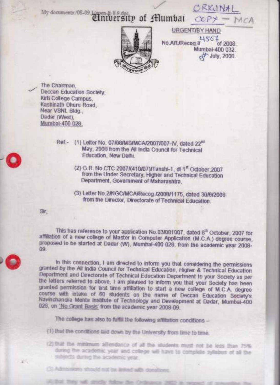CRKUNA My documents:/08.09.1/**Antibersity of Alumbai** COPY —



URGENT/BY HAND No.Aff./Recog.u of 2008 Mumbai-400 032 ct<sup>th</sup> July, 2008.

The Chairman. Deccan Education Society Kirti College Campus Kashinath Dhuru Road. Near VSNL Bldg.. Dadar (West), Mumbai-400 028.

> Ref .- (1) Letter No. 07/08/MS/MCA/2007/007-IV. dated 22<sup>nd</sup> May, 2008 from the All India Council for Technical Education, New Delhi.

- (2) G.R. No.CTC 2007/(410/07)/Tanshi-1, dt.1<sup>st</sup> October, 2007 from the Under Secretary, Higher and Technical Education Department, Government of Maharashtra.
- (3) Letter No. 2/NGC/MCA/Recog./2008/1175, dated 30/6/2008 from the Director, Directorate of Technical Education.

Sir.

 $41 - 1$ 

This has reference to your application No.03/081007, dated 8<sup>th</sup> October, 2007 for affiliation of a new college of Master in Computer Application (M.C.A.) degree course, proposed to be started at Dadar (W), Mumbai-400 028, from the academic year 2008-89.

In this connection, I am directed to inform you that considering the permissions granted by the All India Council for Technical Education, Higher & Technical Education Department and Directorate of Technical Education Department to your Society as per the letters referred to above, I am pleased to inform you that your Society has been granted permission for first time affiliation to start a new college of M.C.A. degree course with intake of 60 students on the name of Deccan Education Society's Navinchandra Mehta Institute of Technology and Development at Dadar, Mumbai-400 028, on 'No Grant Basis' from the academic year 2008-09.

The college has also to fulfill the following affiliation conditions -

(1) that the conditions laid down by the University from time to time.

(3) Admissions should not be linked with donatio

(2) that the minimum all'endance of all the students must not be less than 75% during the academic year and college will have to complete syllabus of all the · subjects during the academic year.